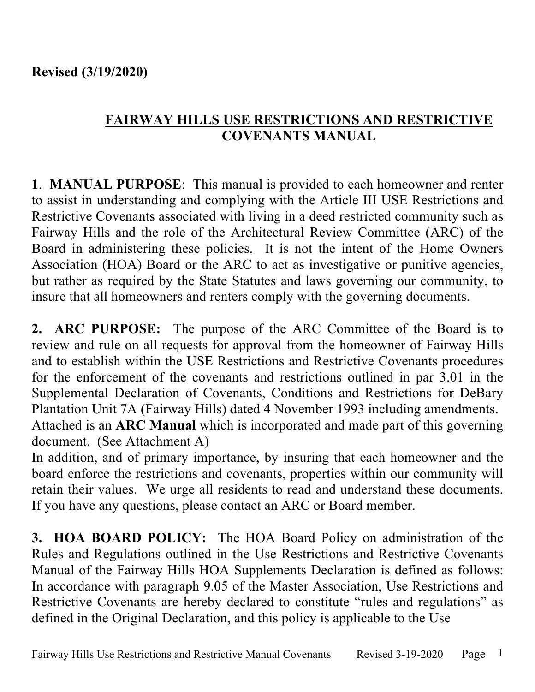## **FAIRWAY HILLS USE RESTRICTIONS AND RESTRICTIVE COVENANTS MANUAL**

**1**. **MANUAL PURPOSE**: This manual is provided to each homeowner and renter to assist in understanding and complying with the Article III USE Restrictions and Restrictive Covenants associated with living in a deed restricted community such as Fairway Hills and the role of the Architectural Review Committee (ARC) of the Board in administering these policies. It is not the intent of the Home Owners Association (HOA) Board or the ARC to act as investigative or punitive agencies, but rather as required by the State Statutes and laws governing our community, to insure that all homeowners and renters comply with the governing documents.

**2. ARC PURPOSE:** The purpose of the ARC Committee of the Board is to review and rule on all requests for approval from the homeowner of Fairway Hills and to establish within the USE Restrictions and Restrictive Covenants procedures for the enforcement of the covenants and restrictions outlined in par 3.01 in the Supplemental Declaration of Covenants, Conditions and Restrictions for DeBary Plantation Unit 7A (Fairway Hills) dated 4 November 1993 including amendments. Attached is an **ARC Manual** which is incorporated and made part of this governing document. (See Attachment A)

In addition, and of primary importance, by insuring that each homeowner and the board enforce the restrictions and covenants, properties within our community will retain their values. We urge all residents to read and understand these documents. If you have any questions, please contact an ARC or Board member.

**3. HOA BOARD POLICY:** The HOA Board Policy on administration of the Rules and Regulations outlined in the Use Restrictions and Restrictive Covenants Manual of the Fairway Hills HOA Supplements Declaration is defined as follows: In accordance with paragraph 9.05 of the Master Association, Use Restrictions and Restrictive Covenants are hereby declared to constitute "rules and regulations" as defined in the Original Declaration, and this policy is applicable to the Use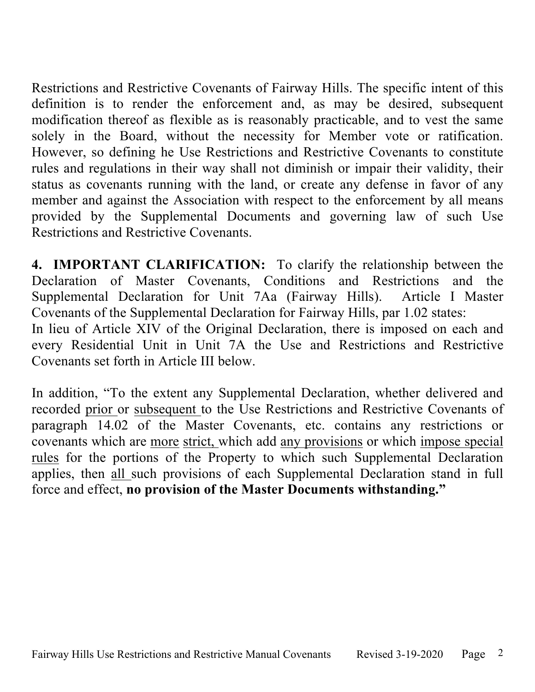Restrictions and Restrictive Covenants of Fairway Hills. The specific intent of this definition is to render the enforcement and, as may be desired, subsequent modification thereof as flexible as is reasonably practicable, and to vest the same solely in the Board, without the necessity for Member vote or ratification. However, so defining he Use Restrictions and Restrictive Covenants to constitute rules and regulations in their way shall not diminish or impair their validity, their status as covenants running with the land, or create any defense in favor of any member and against the Association with respect to the enforcement by all means provided by the Supplemental Documents and governing law of such Use Restrictions and Restrictive Covenants.

**4. IMPORTANT CLARIFICATION:** To clarify the relationship between the Declaration of Master Covenants, Conditions and Restrictions and the Supplemental Declaration for Unit 7Aa (Fairway Hills). Article I Master Covenants of the Supplemental Declaration for Fairway Hills, par 1.02 states:

In lieu of Article XIV of the Original Declaration, there is imposed on each and every Residential Unit in Unit 7A the Use and Restrictions and Restrictive Covenants set forth in Article III below.

In addition, "To the extent any Supplemental Declaration, whether delivered and recorded prior or subsequent to the Use Restrictions and Restrictive Covenants of paragraph 14.02 of the Master Covenants, etc. contains any restrictions or covenants which are more strict, which add any provisions or which impose special rules for the portions of the Property to which such Supplemental Declaration applies, then all such provisions of each Supplemental Declaration stand in full force and effect, **no provision of the Master Documents withstanding."**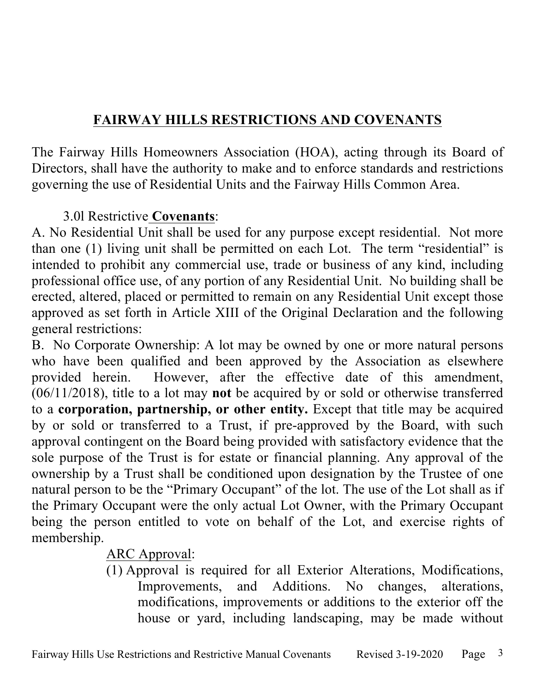# **FAIRWAY HILLS RESTRICTIONS AND COVENANTS**

The Fairway Hills Homeowners Association (HOA), acting through its Board of Directors, shall have the authority to make and to enforce standards and restrictions governing the use of Residential Units and the Fairway Hills Common Area.

## 3.0l Restrictive **Covenants**:

A. No Residential Unit shall be used for any purpose except residential. Not more than one (1) living unit shall be permitted on each Lot. The term "residential" is intended to prohibit any commercial use, trade or business of any kind, including professional office use, of any portion of any Residential Unit. No building shall be erected, altered, placed or permitted to remain on any Residential Unit except those approved as set forth in Article XIII of the Original Declaration and the following general restrictions:

B. No Corporate Ownership: A lot may be owned by one or more natural persons who have been qualified and been approved by the Association as elsewhere provided herein. However, after the effective date of this amendment, (06/11/2018), title to a lot may **not** be acquired by or sold or otherwise transferred to a **corporation, partnership, or other entity.** Except that title may be acquired by or sold or transferred to a Trust, if pre-approved by the Board, with such approval contingent on the Board being provided with satisfactory evidence that the sole purpose of the Trust is for estate or financial planning. Any approval of the ownership by a Trust shall be conditioned upon designation by the Trustee of one natural person to be the "Primary Occupant" of the lot. The use of the Lot shall as if the Primary Occupant were the only actual Lot Owner, with the Primary Occupant being the person entitled to vote on behalf of the Lot, and exercise rights of membership.

# ARC Approval:

(1) Approval is required for all Exterior Alterations, Modifications, Improvements, and Additions. No changes, alterations, modifications, improvements or additions to the exterior off the house or yard, including landscaping, may be made without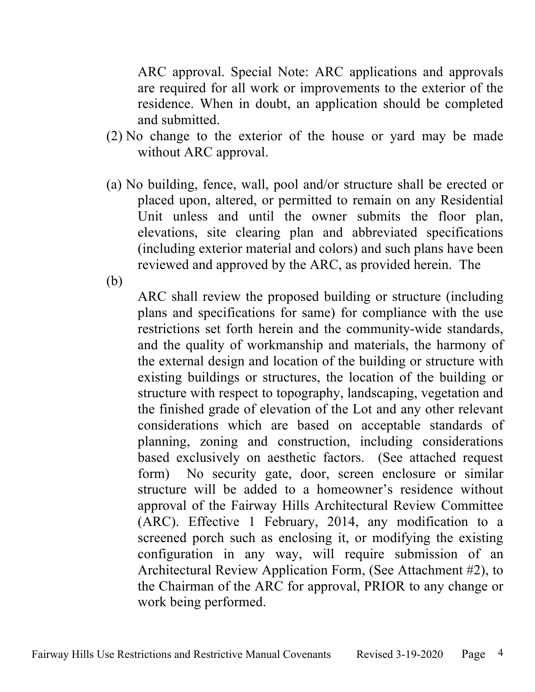ARC approval. Special Note: ARC applications and approvals are required for all work or improvements to the exterior of the residence. When in doubt, an application should be completed and submitted.

- (2) No change to the exterior of the house or yard may be made without ARC approval.
- (a) No building, fence, wall, pool and/or structure shall be erected or placed upon, altered, or permitted to remain on any Residential Unit unless and until the owner submits the floor plan, elevations, site clearing plan and abbreviated specifications (including exterior material and colors) and such plans have been reviewed and approved by the ARC, as provided herein. The

(b)

ARC shall review the proposed building or structure (including plans and specifications for same) for compliance with the use restrictions set forth herein and the community-wide standards, and the quality of workmanship and materials, the harmony of the external design and location of the building or structure with existing buildings or structures, the location of the building or structure with respect to topography, landscaping, vegetation and the finished grade of elevation of the Lot and any other relevant considerations which are based on acceptable standards of planning, zoning and construction, including considerations based exclusively on aesthetic factors. (See attached request form) No security gate, door, screen enclosure or similar structure will be added to a homeowner's residence without approval of the Fairway Hills Architectural Review Committee (ARC). Effective 1 February, 2014, any modification to a screened porch such as enclosing it, or modifying the existing configuration in any way, will require submission of an Architectural Review Application Form, (See Attachment #2), to the Chairman of the ARC for approval, PRIOR to any change or work being performed.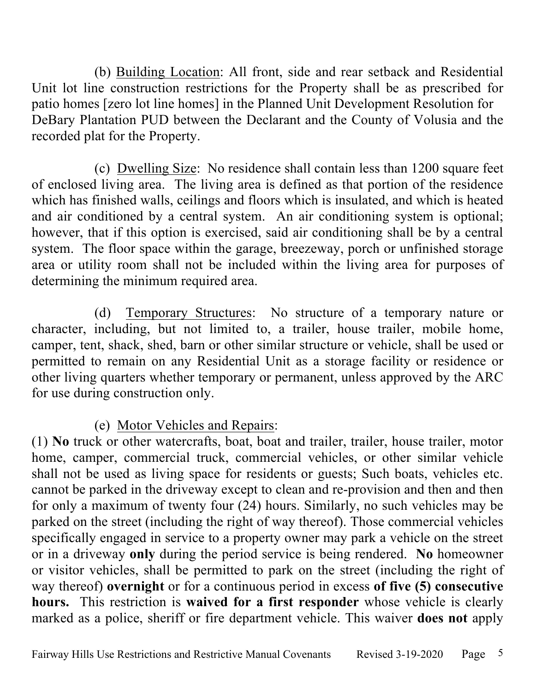(b) Building Location: All front, side and rear setback and Residential Unit lot line construction restrictions for the Property shall be as prescribed for patio homes [zero lot line homes] in the Planned Unit Development Resolution for DeBary Plantation PUD between the Declarant and the County of Volusia and the recorded plat for the Property.

(c) Dwelling Size: No residence shall contain less than 1200 square feet of enclosed living area. The living area is defined as that portion of the residence which has finished walls, ceilings and floors which is insulated, and which is heated and air conditioned by a central system. An air conditioning system is optional; however, that if this option is exercised, said air conditioning shall be by a central system. The floor space within the garage, breezeway, porch or unfinished storage area or utility room shall not be included within the living area for purposes of determining the minimum required area.

(d) Temporary Structures: No structure of a temporary nature or character, including, but not limited to, a trailer, house trailer, mobile home, camper, tent, shack, shed, barn or other similar structure or vehicle, shall be used or permitted to remain on any Residential Unit as a storage facility or residence or other living quarters whether temporary or permanent, unless approved by the ARC for use during construction only.

(e) Motor Vehicles and Repairs:

(1) **No** truck or other watercrafts, boat, boat and trailer, trailer, house trailer, motor home, camper, commercial truck, commercial vehicles, or other similar vehicle shall not be used as living space for residents or guests; Such boats, vehicles etc. cannot be parked in the driveway except to clean and re-provision and then and then for only a maximum of twenty four (24) hours. Similarly, no such vehicles may be parked on the street (including the right of way thereof). Those commercial vehicles specifically engaged in service to a property owner may park a vehicle on the street or in a driveway **only** during the period service is being rendered. **No** homeowner or visitor vehicles, shall be permitted to park on the street (including the right of way thereof) **overnight** or for a continuous period in excess **of five (5) consecutive hours.** This restriction is **waived for a first responder** whose vehicle is clearly marked as a police, sheriff or fire department vehicle. This waiver **does not** apply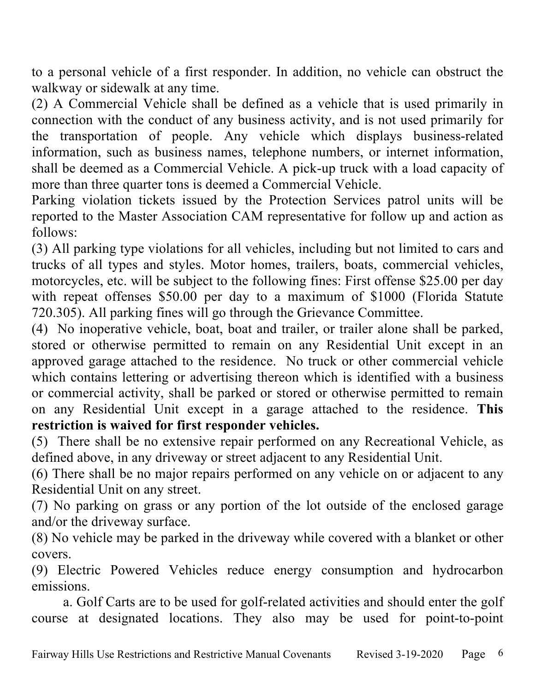to a personal vehicle of a first responder. In addition, no vehicle can obstruct the walkway or sidewalk at any time.

(2) A Commercial Vehicle shall be defined as a vehicle that is used primarily in connection with the conduct of any business activity, and is not used primarily for the transportation of people. Any vehicle which displays business-related information, such as business names, telephone numbers, or internet information, shall be deemed as a Commercial Vehicle. A pick-up truck with a load capacity of more than three quarter tons is deemed a Commercial Vehicle.

Parking violation tickets issued by the Protection Services patrol units will be reported to the Master Association CAM representative for follow up and action as follows:

(3) All parking type violations for all vehicles, including but not limited to cars and trucks of all types and styles. Motor homes, trailers, boats, commercial vehicles, motorcycles, etc. will be subject to the following fines: First offense \$25.00 per day with repeat offenses \$50.00 per day to a maximum of \$1000 (Florida Statute 720.305). All parking fines will go through the Grievance Committee.

(4) No inoperative vehicle, boat, boat and trailer, or trailer alone shall be parked, stored or otherwise permitted to remain on any Residential Unit except in an approved garage attached to the residence. No truck or other commercial vehicle which contains lettering or advertising thereon which is identified with a business or commercial activity, shall be parked or stored or otherwise permitted to remain on any Residential Unit except in a garage attached to the residence. **This restriction is waived for first responder vehicles.**

(5) There shall be no extensive repair performed on any Recreational Vehicle, as defined above, in any driveway or street adjacent to any Residential Unit.

(6) There shall be no major repairs performed on any vehicle on or adjacent to any Residential Unit on any street.

(7) No parking on grass or any portion of the lot outside of the enclosed garage and/or the driveway surface.

(8) No vehicle may be parked in the driveway while covered with a blanket or other covers.

(9) Electric Powered Vehicles reduce energy consumption and hydrocarbon emissions.

a. Golf Carts are to be used for golf-related activities and should enter the golf course at designated locations. They also may be used for point-to-point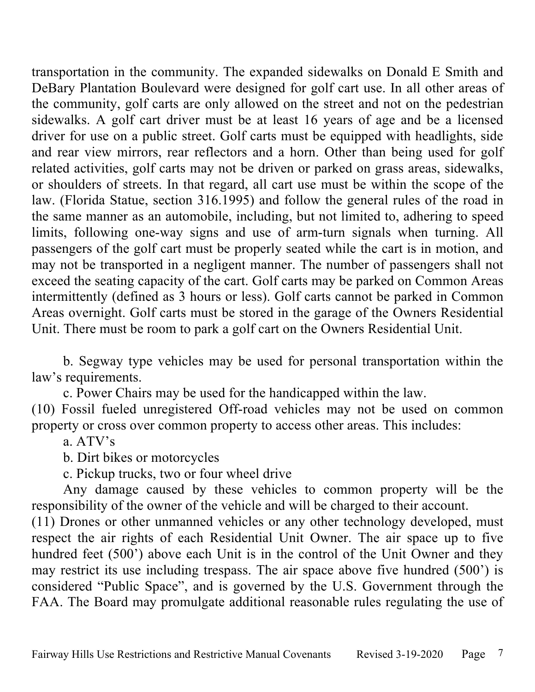transportation in the community. The expanded sidewalks on Donald E Smith and DeBary Plantation Boulevard were designed for golf cart use. In all other areas of the community, golf carts are only allowed on the street and not on the pedestrian sidewalks. A golf cart driver must be at least 16 years of age and be a licensed driver for use on a public street. Golf carts must be equipped with headlights, side and rear view mirrors, rear reflectors and a horn. Other than being used for golf related activities, golf carts may not be driven or parked on grass areas, sidewalks, or shoulders of streets. In that regard, all cart use must be within the scope of the law. (Florida Statue, section 316.1995) and follow the general rules of the road in the same manner as an automobile, including, but not limited to, adhering to speed limits, following one-way signs and use of arm-turn signals when turning. All passengers of the golf cart must be properly seated while the cart is in motion, and may not be transported in a negligent manner. The number of passengers shall not exceed the seating capacity of the cart. Golf carts may be parked on Common Areas intermittently (defined as 3 hours or less). Golf carts cannot be parked in Common Areas overnight. Golf carts must be stored in the garage of the Owners Residential Unit. There must be room to park a golf cart on the Owners Residential Unit.

b. Segway type vehicles may be used for personal transportation within the law's requirements.

c. Power Chairs may be used for the handicapped within the law.

(10) Fossil fueled unregistered Off-road vehicles may not be used on common property or cross over common property to access other areas. This includes:

a. ATV's

b. Dirt bikes or motorcycles

c. Pickup trucks, two or four wheel drive

Any damage caused by these vehicles to common property will be the responsibility of the owner of the vehicle and will be charged to their account.

(11) Drones or other unmanned vehicles or any other technology developed, must respect the air rights of each Residential Unit Owner. The air space up to five hundred feet (500') above each Unit is in the control of the Unit Owner and they may restrict its use including trespass. The air space above five hundred (500') is considered "Public Space", and is governed by the U.S. Government through the FAA. The Board may promulgate additional reasonable rules regulating the use of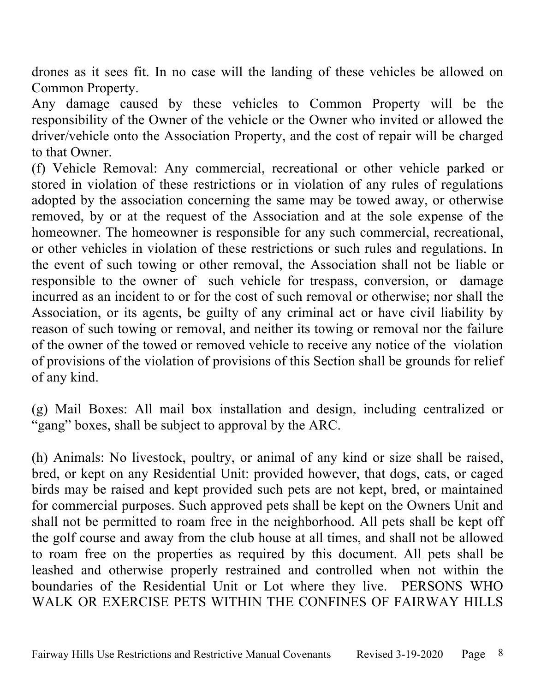drones as it sees fit. In no case will the landing of these vehicles be allowed on Common Property.

Any damage caused by these vehicles to Common Property will be the responsibility of the Owner of the vehicle or the Owner who invited or allowed the driver/vehicle onto the Association Property, and the cost of repair will be charged to that Owner.

(f) Vehicle Removal: Any commercial, recreational or other vehicle parked or stored in violation of these restrictions or in violation of any rules of regulations adopted by the association concerning the same may be towed away, or otherwise removed, by or at the request of the Association and at the sole expense of the homeowner. The homeowner is responsible for any such commercial, recreational, or other vehicles in violation of these restrictions or such rules and regulations. In the event of such towing or other removal, the Association shall not be liable or responsible to the owner of such vehicle for trespass, conversion, or damage incurred as an incident to or for the cost of such removal or otherwise; nor shall the Association, or its agents, be guilty of any criminal act or have civil liability by reason of such towing or removal, and neither its towing or removal nor the failure of the owner of the towed or removed vehicle to receive any notice of the violation of provisions of the violation of provisions of this Section shall be grounds for relief of any kind.

(g) Mail Boxes: All mail box installation and design, including centralized or "gang" boxes, shall be subject to approval by the ARC.

(h) Animals: No livestock, poultry, or animal of any kind or size shall be raised, bred, or kept on any Residential Unit: provided however, that dogs, cats, or caged birds may be raised and kept provided such pets are not kept, bred, or maintained for commercial purposes. Such approved pets shall be kept on the Owners Unit and shall not be permitted to roam free in the neighborhood. All pets shall be kept off the golf course and away from the club house at all times, and shall not be allowed to roam free on the properties as required by this document. All pets shall be leashed and otherwise properly restrained and controlled when not within the boundaries of the Residential Unit or Lot where they live. PERSONS WHO WALK OR EXERCISE PETS WITHIN THE CONFINES OF FAIRWAY HILLS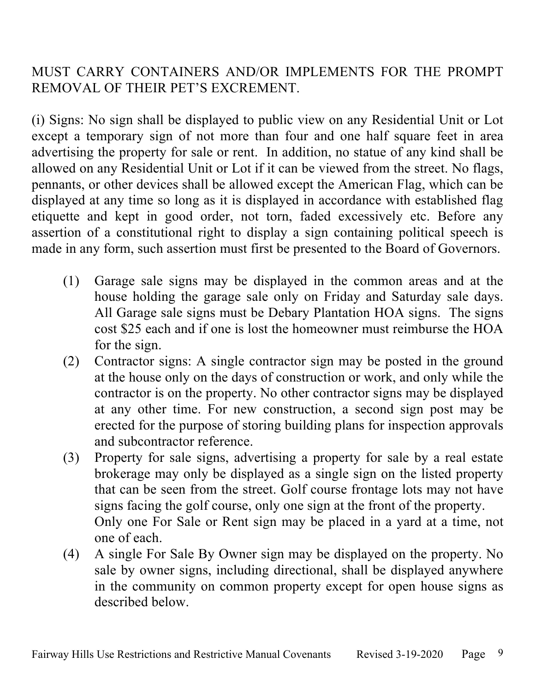# MUST CARRY CONTAINERS AND/OR IMPLEMENTS FOR THE PROMPT REMOVAL OF THEIR PET'S EXCREMENT.

(i) Signs: No sign shall be displayed to public view on any Residential Unit or Lot except a temporary sign of not more than four and one half square feet in area advertising the property for sale or rent. In addition, no statue of any kind shall be allowed on any Residential Unit or Lot if it can be viewed from the street. No flags, pennants, or other devices shall be allowed except the American Flag, which can be displayed at any time so long as it is displayed in accordance with established flag etiquette and kept in good order, not torn, faded excessively etc. Before any assertion of a constitutional right to display a sign containing political speech is made in any form, such assertion must first be presented to the Board of Governors.

- (1) Garage sale signs may be displayed in the common areas and at the house holding the garage sale only on Friday and Saturday sale days. All Garage sale signs must be Debary Plantation HOA signs. The signs cost \$25 each and if one is lost the homeowner must reimburse the HOA for the sign.
- (2) Contractor signs: A single contractor sign may be posted in the ground at the house only on the days of construction or work, and only while the contractor is on the property. No other contractor signs may be displayed at any other time. For new construction, a second sign post may be erected for the purpose of storing building plans for inspection approvals and subcontractor reference.
- (3) Property for sale signs, advertising a property for sale by a real estate brokerage may only be displayed as a single sign on the listed property that can be seen from the street. Golf course frontage lots may not have signs facing the golf course, only one sign at the front of the property. Only one For Sale or Rent sign may be placed in a yard at a time, not one of each.
- (4) A single For Sale By Owner sign may be displayed on the property. No sale by owner signs, including directional, shall be displayed anywhere in the community on common property except for open house signs as described below.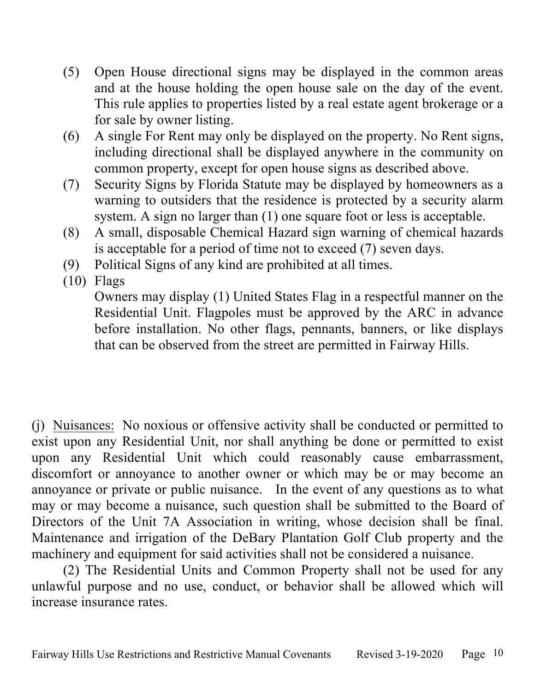- (5) Open House directional signs may be displayed in the common areas and at the house holding the open house sale on the day of the event. This rule applies to properties listed by a real estate agent brokerage or a for sale by owner listing.
- (6) A single For Rent may only be displayed on the property. No Rent signs, including directional shall be displayed anywhere in the community on common property, except for open house signs as described above.
- (7) Security Signs by Florida Statute may be displayed by homeowners as a warning to outsiders that the residence is protected by a security alarm system. A sign no larger than (1) one square foot or less is acceptable.
- (8) A small, disposable Chemical Hazard sign warning of chemical hazards is acceptable for a period of time not to exceed (7) seven days.
- (9) Political Signs of any kind are prohibited at all times.
- (10) Flags

Owners may display (1) United States Flag in a respectful manner on the Residential Unit. Flagpoles must be approved by the ARC in advance before installation. No other flags, pennants, banners, or like displays that can be observed from the street are permitted in Fairway Hills.

(j) Nuisances:No noxious or offensive activity shall be conducted or permitted to exist upon any Residential Unit, nor shall anything be done or permitted to exist upon any Residential Unit which could reasonably cause embarrassment, discomfort or annoyance to another owner or which may be or may become an annoyance or private or public nuisance. In the event of any questions as to what may or may become a nuisance, such question shall be submitted to the Board of Directors of the Unit 7A Association in writing, whose decision shall be final. Maintenance and irrigation of the DeBary Plantation Golf Club property and the machinery and equipment for said activities shall not be considered a nuisance.

(2) The Residential Units and Common Property shall not be used for any unlawful purpose and no use, conduct, or behavior shall be allowed which will increase insurance rates.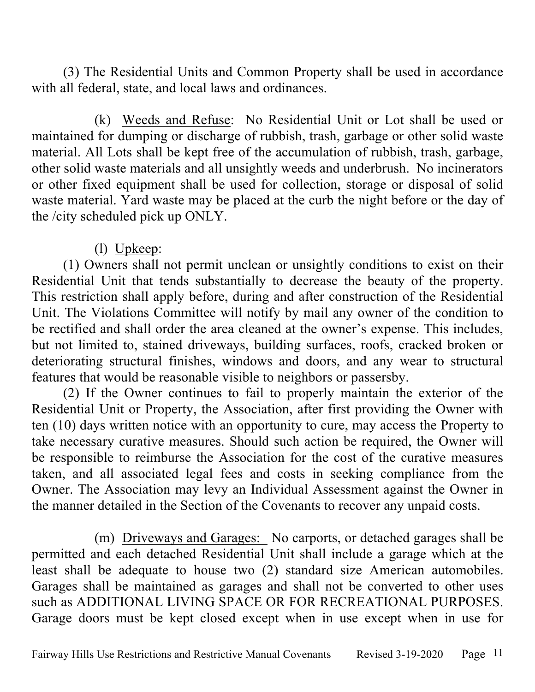(3) The Residential Units and Common Property shall be used in accordance with all federal, state, and local laws and ordinances.

(k) Weeds and Refuse: No Residential Unit or Lot shall be used or maintained for dumping or discharge of rubbish, trash, garbage or other solid waste material. All Lots shall be kept free of the accumulation of rubbish, trash, garbage, other solid waste materials and all unsightly weeds and underbrush. No incinerators or other fixed equipment shall be used for collection, storage or disposal of solid waste material. Yard waste may be placed at the curb the night before or the day of the /city scheduled pick up ONLY.

## (l) Upkeep:

(1) Owners shall not permit unclean or unsightly conditions to exist on their Residential Unit that tends substantially to decrease the beauty of the property. This restriction shall apply before, during and after construction of the Residential Unit. The Violations Committee will notify by mail any owner of the condition to be rectified and shall order the area cleaned at the owner's expense. This includes, but not limited to, stained driveways, building surfaces, roofs, cracked broken or deteriorating structural finishes, windows and doors, and any wear to structural features that would be reasonable visible to neighbors or passersby.

(2) If the Owner continues to fail to properly maintain the exterior of the Residential Unit or Property, the Association, after first providing the Owner with ten (10) days written notice with an opportunity to cure, may access the Property to take necessary curative measures. Should such action be required, the Owner will be responsible to reimburse the Association for the cost of the curative measures taken, and all associated legal fees and costs in seeking compliance from the Owner. The Association may levy an Individual Assessment against the Owner in the manner detailed in the Section of the Covenants to recover any unpaid costs.

(m) Driveways and Garages: No carports, or detached garages shall be permitted and each detached Residential Unit shall include a garage which at the least shall be adequate to house two (2) standard size American automobiles. Garages shall be maintained as garages and shall not be converted to other uses such as ADDITIONAL LIVING SPACE OR FOR RECREATIONAL PURPOSES. Garage doors must be kept closed except when in use except when in use for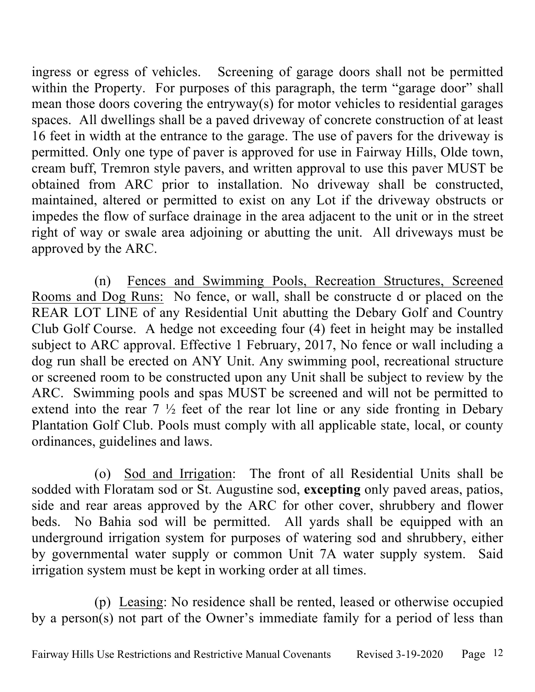ingress or egress of vehicles. Screening of garage doors shall not be permitted within the Property. For purposes of this paragraph, the term "garage door" shall mean those doors covering the entryway(s) for motor vehicles to residential garages spaces. All dwellings shall be a paved driveway of concrete construction of at least 16 feet in width at the entrance to the garage. The use of pavers for the driveway is permitted. Only one type of paver is approved for use in Fairway Hills, Olde town, cream buff, Tremron style pavers, and written approval to use this paver MUST be obtained from ARC prior to installation. No driveway shall be constructed, maintained, altered or permitted to exist on any Lot if the driveway obstructs or impedes the flow of surface drainage in the area adjacent to the unit or in the street right of way or swale area adjoining or abutting the unit. All driveways must be approved by the ARC.

(n) Fences and Swimming Pools, Recreation Structures, Screened Rooms and Dog Runs: No fence, or wall, shall be constructe d or placed on the REAR LOT LINE of any Residential Unit abutting the Debary Golf and Country Club Golf Course. A hedge not exceeding four (4) feet in height may be installed subject to ARC approval. Effective 1 February, 2017, No fence or wall including a dog run shall be erected on ANY Unit. Any swimming pool, recreational structure or screened room to be constructed upon any Unit shall be subject to review by the ARC. Swimming pools and spas MUST be screened and will not be permitted to extend into the rear  $7\frac{1}{2}$  feet of the rear lot line or any side fronting in Debary Plantation Golf Club. Pools must comply with all applicable state, local, or county ordinances, guidelines and laws.

(o) Sod and Irrigation: The front of all Residential Units shall be sodded with Floratam sod or St. Augustine sod, **excepting** only paved areas, patios, side and rear areas approved by the ARC for other cover, shrubbery and flower beds. No Bahia sod will be permitted. All yards shall be equipped with an underground irrigation system for purposes of watering sod and shrubbery, either by governmental water supply or common Unit 7A water supply system. Said irrigation system must be kept in working order at all times.

(p) Leasing: No residence shall be rented, leased or otherwise occupied by a person(s) not part of the Owner's immediate family for a period of less than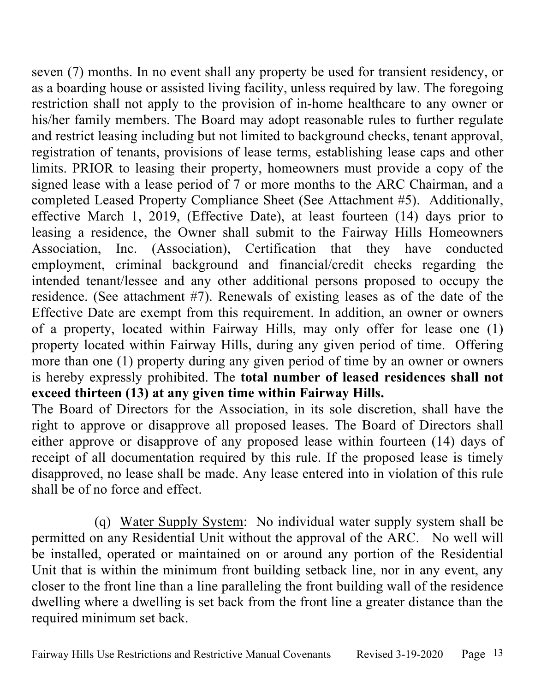seven (7) months. In no event shall any property be used for transient residency, or as a boarding house or assisted living facility, unless required by law. The foregoing restriction shall not apply to the provision of in-home healthcare to any owner or his/her family members. The Board may adopt reasonable rules to further regulate and restrict leasing including but not limited to background checks, tenant approval, registration of tenants, provisions of lease terms, establishing lease caps and other limits. PRIOR to leasing their property, homeowners must provide a copy of the signed lease with a lease period of 7 or more months to the ARC Chairman, and a completed Leased Property Compliance Sheet (See Attachment #5). Additionally, effective March 1, 2019, (Effective Date), at least fourteen (14) days prior to leasing a residence, the Owner shall submit to the Fairway Hills Homeowners Association, Inc. (Association), Certification that they have conducted employment, criminal background and financial/credit checks regarding the intended tenant/lessee and any other additional persons proposed to occupy the residence. (See attachment #7). Renewals of existing leases as of the date of the Effective Date are exempt from this requirement. In addition, an owner or owners of a property, located within Fairway Hills, may only offer for lease one (1) property located within Fairway Hills, during any given period of time. Offering more than one (1) property during any given period of time by an owner or owners is hereby expressly prohibited. The **total number of leased residences shall not exceed thirteen (13) at any given time within Fairway Hills.**

The Board of Directors for the Association, in its sole discretion, shall have the right to approve or disapprove all proposed leases. The Board of Directors shall either approve or disapprove of any proposed lease within fourteen (14) days of receipt of all documentation required by this rule. If the proposed lease is timely disapproved, no lease shall be made. Any lease entered into in violation of this rule shall be of no force and effect.

(q) Water Supply System: No individual water supply system shall be permitted on any Residential Unit without the approval of the ARC. No well will be installed, operated or maintained on or around any portion of the Residential Unit that is within the minimum front building setback line, nor in any event, any closer to the front line than a line paralleling the front building wall of the residence dwelling where a dwelling is set back from the front line a greater distance than the required minimum set back.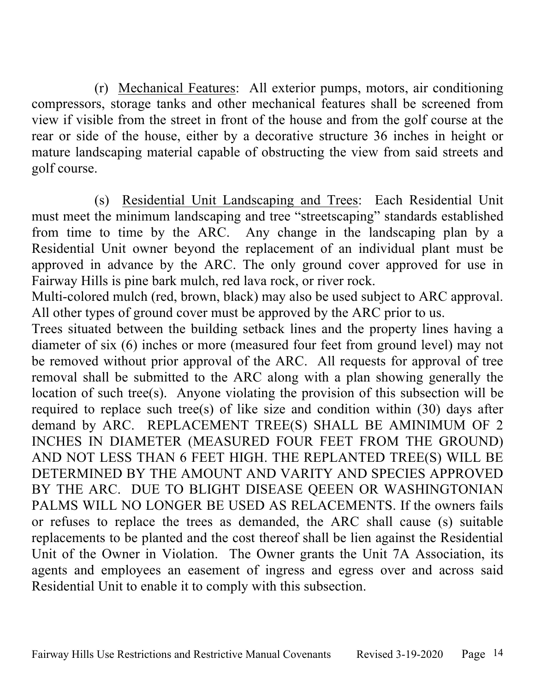(r) Mechanical Features: All exterior pumps, motors, air conditioning compressors, storage tanks and other mechanical features shall be screened from view if visible from the street in front of the house and from the golf course at the rear or side of the house, either by a decorative structure 36 inches in height or mature landscaping material capable of obstructing the view from said streets and golf course.

(s) Residential Unit Landscaping and Trees: Each Residential Unit must meet the minimum landscaping and tree "streetscaping" standards established from time to time by the ARC. Any change in the landscaping plan by a Residential Unit owner beyond the replacement of an individual plant must be approved in advance by the ARC. The only ground cover approved for use in Fairway Hills is pine bark mulch, red lava rock, or river rock.

Multi-colored mulch (red, brown, black) may also be used subject to ARC approval. All other types of ground cover must be approved by the ARC prior to us.

Trees situated between the building setback lines and the property lines having a diameter of six (6) inches or more (measured four feet from ground level) may not be removed without prior approval of the ARC. All requests for approval of tree removal shall be submitted to the ARC along with a plan showing generally the location of such tree(s). Anyone violating the provision of this subsection will be required to replace such tree(s) of like size and condition within (30) days after demand by ARC. REPLACEMENT TREE(S) SHALL BE AMINIMUM OF 2 INCHES IN DIAMETER (MEASURED FOUR FEET FROM THE GROUND) AND NOT LESS THAN 6 FEET HIGH. THE REPLANTED TREE(S) WILL BE DETERMINED BY THE AMOUNT AND VARITY AND SPECIES APPROVED BY THE ARC. DUE TO BLIGHT DISEASE QEEEN OR WASHINGTONIAN PALMS WILL NO LONGER BE USED AS RELACEMENTS. If the owners fails or refuses to replace the trees as demanded, the ARC shall cause (s) suitable replacements to be planted and the cost thereof shall be lien against the Residential Unit of the Owner in Violation. The Owner grants the Unit 7A Association, its agents and employees an easement of ingress and egress over and across said Residential Unit to enable it to comply with this subsection.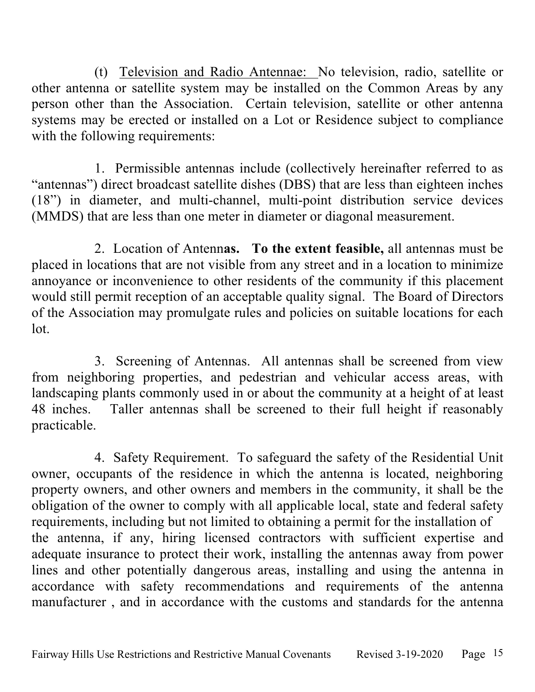(t) Television and Radio Antennae: No television, radio, satellite or other antenna or satellite system may be installed on the Common Areas by any person other than the Association. Certain television, satellite or other antenna systems may be erected or installed on a Lot or Residence subject to compliance with the following requirements:

1. Permissible antennas include (collectively hereinafter referred to as "antennas") direct broadcast satellite dishes (DBS) that are less than eighteen inches (18") in diameter, and multi-channel, multi-point distribution service devices (MMDS) that are less than one meter in diameter or diagonal measurement.

2. Location of Antenn**as. To the extent feasible,** all antennas must be placed in locations that are not visible from any street and in a location to minimize annoyance or inconvenience to other residents of the community if this placement would still permit reception of an acceptable quality signal. The Board of Directors of the Association may promulgate rules and policies on suitable locations for each lot.

3. Screening of Antennas. All antennas shall be screened from view from neighboring properties, and pedestrian and vehicular access areas, with landscaping plants commonly used in or about the community at a height of at least 48 inches. Taller antennas shall be screened to their full height if reasonably practicable.

4. Safety Requirement. To safeguard the safety of the Residential Unit owner, occupants of the residence in which the antenna is located, neighboring property owners, and other owners and members in the community, it shall be the obligation of the owner to comply with all applicable local, state and federal safety requirements, including but not limited to obtaining a permit for the installation of the antenna, if any, hiring licensed contractors with sufficient expertise and adequate insurance to protect their work, installing the antennas away from power lines and other potentially dangerous areas, installing and using the antenna in accordance with safety recommendations and requirements of the antenna manufacturer , and in accordance with the customs and standards for the antenna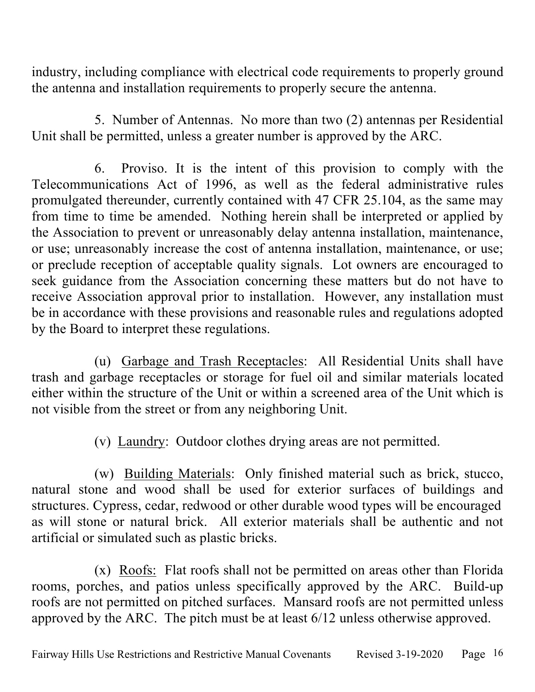industry, including compliance with electrical code requirements to properly ground the antenna and installation requirements to properly secure the antenna.

5. Number of Antennas. No more than two (2) antennas per Residential Unit shall be permitted, unless a greater number is approved by the ARC.

6. Proviso. It is the intent of this provision to comply with the Telecommunications Act of 1996, as well as the federal administrative rules promulgated thereunder, currently contained with 47 CFR 25.104, as the same may from time to time be amended. Nothing herein shall be interpreted or applied by the Association to prevent or unreasonably delay antenna installation, maintenance, or use; unreasonably increase the cost of antenna installation, maintenance, or use; or preclude reception of acceptable quality signals. Lot owners are encouraged to seek guidance from the Association concerning these matters but do not have to receive Association approval prior to installation. However, any installation must be in accordance with these provisions and reasonable rules and regulations adopted by the Board to interpret these regulations.

(u) Garbage and Trash Receptacles: All Residential Units shall have trash and garbage receptacles or storage for fuel oil and similar materials located either within the structure of the Unit or within a screened area of the Unit which is not visible from the street or from any neighboring Unit.

(v) Laundry: Outdoor clothes drying areas are not permitted.

(w) Building Materials: Only finished material such as brick, stucco, natural stone and wood shall be used for exterior surfaces of buildings and structures. Cypress, cedar, redwood or other durable wood types will be encouraged as will stone or natural brick. All exterior materials shall be authentic and not artificial or simulated such as plastic bricks.

(x) Roofs: Flat roofs shall not be permitted on areas other than Florida rooms, porches, and patios unless specifically approved by the ARC. Build-up roofs are not permitted on pitched surfaces. Mansard roofs are not permitted unless approved by the ARC. The pitch must be at least 6/12 unless otherwise approved.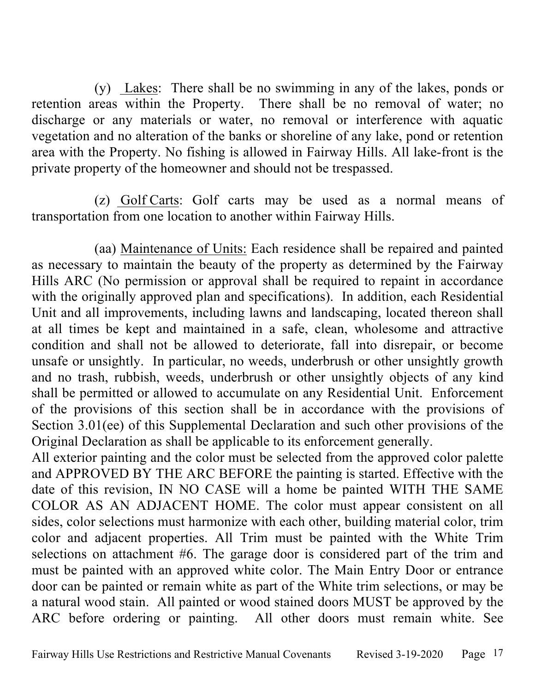(y) Lakes: There shall be no swimming in any of the lakes, ponds or retention areas within the Property. There shall be no removal of water; no discharge or any materials or water, no removal or interference with aquatic vegetation and no alteration of the banks or shoreline of any lake, pond or retention area with the Property. No fishing is allowed in Fairway Hills. All lake-front is the private property of the homeowner and should not be trespassed.

(z) Golf Carts: Golf carts may be used as a normal means of transportation from one location to another within Fairway Hills.

(aa) Maintenance of Units: Each residence shall be repaired and painted as necessary to maintain the beauty of the property as determined by the Fairway Hills ARC (No permission or approval shall be required to repaint in accordance with the originally approved plan and specifications). In addition, each Residential Unit and all improvements, including lawns and landscaping, located thereon shall at all times be kept and maintained in a safe, clean, wholesome and attractive condition and shall not be allowed to deteriorate, fall into disrepair, or become unsafe or unsightly. In particular, no weeds, underbrush or other unsightly growth and no trash, rubbish, weeds, underbrush or other unsightly objects of any kind shall be permitted or allowed to accumulate on any Residential Unit. Enforcement of the provisions of this section shall be in accordance with the provisions of Section 3.01(ee) of this Supplemental Declaration and such other provisions of the Original Declaration as shall be applicable to its enforcement generally.

All exterior painting and the color must be selected from the approved color palette and APPROVED BY THE ARC BEFORE the painting is started. Effective with the date of this revision, IN NO CASE will a home be painted WITH THE SAME COLOR AS AN ADJACENT HOME. The color must appear consistent on all sides, color selections must harmonize with each other, building material color, trim color and adjacent properties. All Trim must be painted with the White Trim selections on attachment #6. The garage door is considered part of the trim and must be painted with an approved white color. The Main Entry Door or entrance door can be painted or remain white as part of the White trim selections, or may be a natural wood stain. All painted or wood stained doors MUST be approved by the ARC before ordering or painting. All other doors must remain white. See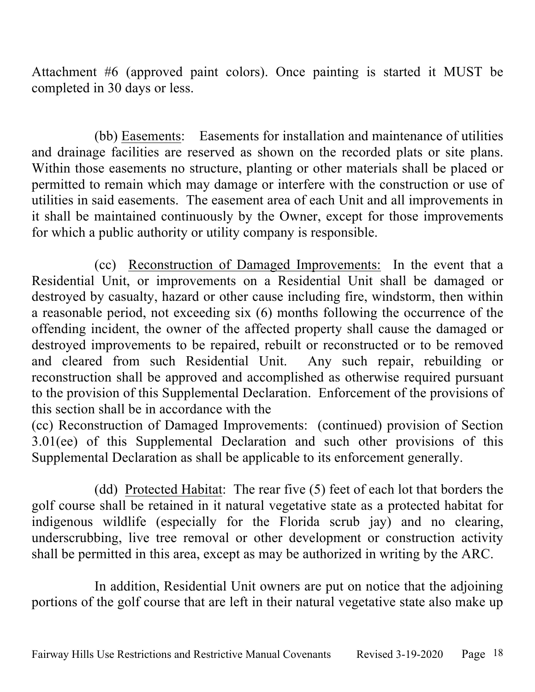Attachment #6 (approved paint colors). Once painting is started it MUST be completed in 30 days or less.

(bb) Easements: Easements for installation and maintenance of utilities and drainage facilities are reserved as shown on the recorded plats or site plans. Within those easements no structure, planting or other materials shall be placed or permitted to remain which may damage or interfere with the construction or use of utilities in said easements. The easement area of each Unit and all improvements in it shall be maintained continuously by the Owner, except for those improvements for which a public authority or utility company is responsible.

(cc) Reconstruction of Damaged Improvements: In the event that a Residential Unit, or improvements on a Residential Unit shall be damaged or destroyed by casualty, hazard or other cause including fire, windstorm, then within a reasonable period, not exceeding six (6) months following the occurrence of the offending incident, the owner of the affected property shall cause the damaged or destroyed improvements to be repaired, rebuilt or reconstructed or to be removed and cleared from such Residential Unit. Any such repair, rebuilding or reconstruction shall be approved and accomplished as otherwise required pursuant to the provision of this Supplemental Declaration. Enforcement of the provisions of this section shall be in accordance with the

(cc) Reconstruction of Damaged Improvements: (continued) provision of Section 3.01(ee) of this Supplemental Declaration and such other provisions of this Supplemental Declaration as shall be applicable to its enforcement generally.

(dd) Protected Habitat: The rear five (5) feet of each lot that borders the golf course shall be retained in it natural vegetative state as a protected habitat for indigenous wildlife (especially for the Florida scrub jay) and no clearing, underscrubbing, live tree removal or other development or construction activity shall be permitted in this area, except as may be authorized in writing by the ARC.

In addition, Residential Unit owners are put on notice that the adjoining portions of the golf course that are left in their natural vegetative state also make up